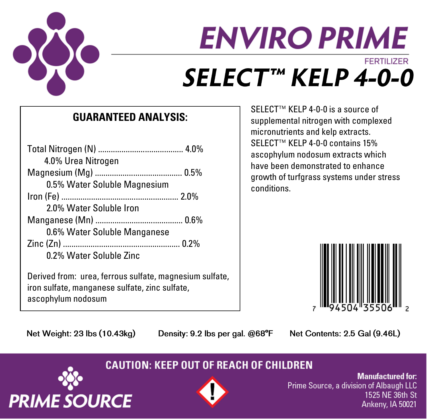

# **ENVIRO PRIME FERTILIZER** SELECT™ KELP 4-0-0

## **GUARANTEED ANALYSIS:**

| 4.0% Urea Nitrogen                              |  |
|-------------------------------------------------|--|
|                                                 |  |
| 0.5% Water Soluble Magnesium                    |  |
|                                                 |  |
| 2.0% Water Soluble Iron                         |  |
|                                                 |  |
| 0.6% Water Soluble Manganese                    |  |
|                                                 |  |
| 0.2% Water Soluble Zinc                         |  |
| Derived from: uses forward outfate mognosium or |  |

Derived from: urea, ferrous sulfate, magnesium sulfate, iron sulfate, manganese sulfate, zinc sulfate, ascophylum nodosum

SELECT™ KELP 4-0-0 is a source of supplemental nitrogen with complexed micronutrients and kelp extracts. SELECT<sup>™</sup> KELP 4-0-0 contains 15% ascophylum nodosum extracts which have been demonstrated to enhance growth of turfgrass systems under stress conditions.



Net Weight: 23 lbs (10.43kg)

Density: 9.2 lbs per gal. @68°F

Net Contents: 2.5 Gal (9.46L)

### **CAUTION: KEEP OUT OF REACH OF CHILDREN**





**Manufactured for:** Prime Source, a division of Albaugh LLC 1525 NE 36th St Ankeny, IA 50021